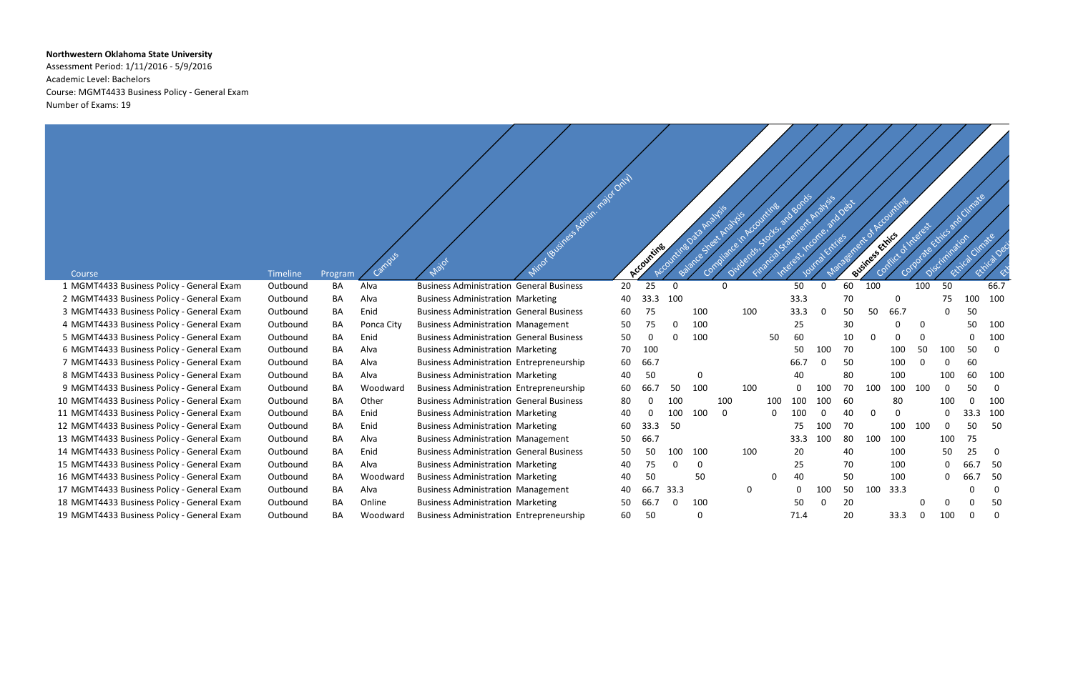## **Northwestern Oklahoma State University**

Assessment Period: 1/11/2016 - 5/9/2016 Academic Level: Bachelors Course: MGMT4433 Business Policy - General Exam Number of Exams: 19



|                                                     |                      |               |            |                                                 | I Business Admin. najot Only |    | Accounting |          | Spe      | * Analysis<br>Comp | Accounting |     | ard Bonds<br>Statement Analysis |          | and Debt | Management of Accounting<br>Business Ethics |          | EINTEREST<br>Corporate | Discrimination | e Kitics and Climate<br>Cimate | Ethiophe |
|-----------------------------------------------------|----------------------|---------------|------------|-------------------------------------------------|------------------------------|----|------------|----------|----------|--------------------|------------|-----|---------------------------------|----------|----------|---------------------------------------------|----------|------------------------|----------------|--------------------------------|----------|
| Course<br>1 MGMT4433 Business Policy - General Exam | Timeline<br>Outbound | Program<br>BA | Alva       | <b>Business Administration General Business</b> |                              | 20 | 25         |          |          |                    |            |     | 50                              | $\Omega$ | 60       | 100                                         |          | 100                    | 50             |                                | 66.7     |
| 2 MGMT4433 Business Policy - General Exam           | Outbound             | BA            | Alva       | <b>Business Administration Marketing</b>        |                              | 40 | 33.3       | 100      |          |                    |            |     | 33.3                            |          | 70       |                                             | 0        |                        | 75             | 100                            | 100      |
| 3 MGMT4433 Business Policy - General Exam           | Outbound             | BA            | Enid       | <b>Business Administration General Business</b> |                              | 60 | 75         |          | 100      |                    | 100        |     | 33.3                            | $\Omega$ | 50       | 50                                          | 66.7     |                        | 0              | 50                             |          |
| 4 MGMT4433 Business Policy - General Exam           | Outbound             | BA            | Ponca City | <b>Business Administration Management</b>       |                              | 50 | 75         |          | 100      |                    |            |     | 25                              |          | 30       |                                             | $\Omega$ | $\Omega$               |                | 50                             | 100      |
| 5 MGMT4433 Business Policy - General Exam           | Outbound             | BA            | Enid       | <b>Business Administration General Business</b> |                              | 50 | 0          |          | 100      |                    |            | 50  | 60                              |          | 10       |                                             | -0       |                        |                |                                | 100      |
| 6 MGMT4433 Business Policy - General Exam           | Outbound             | BA            | Alva       | <b>Business Administration Marketing</b>        |                              | 70 | 100        |          |          |                    |            |     | 50                              | 100      | 70       |                                             | 100      | 50                     | 100            | 50                             | 0        |
| 7 MGMT4433 Business Policy - General Exam           | Outbound             | BA            | Alva       | <b>Business Administration Entrepreneurship</b> |                              | 60 | 66.7       |          |          |                    |            |     | 66.7                            |          | 50       |                                             | 100      |                        | 0              | 60                             |          |
| 8 MGMT4433 Business Policy - General Exam           | Outbound             | BA            | Alva       | <b>Business Administration Marketing</b>        |                              | 40 | 50         |          | 0        |                    |            |     | 40                              |          | 80       |                                             | 100      |                        | 100            | 60                             | 100      |
| 9 MGMT4433 Business Policy - General Exam           | Outbound             | BA            | Woodward   | <b>Business Administration Entrepreneurship</b> |                              | 60 | 66.7       | 50       | 100      |                    | 100        |     | $\Omega$                        | 100      | 70       | 100                                         | 100      | 100                    | $\Omega$       | 50                             | $\Omega$ |
| 10 MGMT4433 Business Policy - General Exam          | Outbound             | BA            | Other      | <b>Business Administration General Business</b> |                              | 80 | $\Omega$   | 100      |          | 100                |            | 100 | 100                             | 100      | 60       |                                             | 80       |                        | <b>100</b>     |                                | 100      |
| 11 MGMT4433 Business Policy - General Exam          | Outbound             | BA            | Enid       | <b>Business Administration Marketing</b>        |                              | 40 |            | 100      | 100      | $\Omega$           |            | 0   | 100                             | ∩        | 40       |                                             | 0        |                        | 0              | 33.3                           | 100      |
| 12 MGMT4433 Business Policy - General Exam          | Outbound             | BA            | Enid       | <b>Business Administration Marketing</b>        |                              | 60 | 33.3       | 50       |          |                    |            |     | 75                              | 100      | 70       |                                             | 100      | 100                    | 0              | 50                             | 50       |
| 13 MGMT4433 Business Policy - General Exam          | Outbound             | BA            | Alva       | <b>Business Administration Management</b>       |                              | 50 | 66.7       |          |          |                    |            |     | 33.3                            | 100      | 80       | 100                                         | 100      |                        | 100            | 75                             |          |
| 14 MGMT4433 Business Policy - General Exam          | Outbound             | BA            | Enid       | <b>Business Administration General Business</b> |                              | 50 | 50         | 100      | 100      |                    | 100        |     | 20                              |          | 40       |                                             | 100      |                        | 50             | 25                             | 0        |
| 15 MGMT4433 Business Policy - General Exam          | Outbound             | BA            | Alva       | <b>Business Administration Marketing</b>        |                              | 40 | 75         | $\Omega$ | $\Omega$ |                    |            |     | 25                              |          | 70       |                                             | 100      |                        | $\Omega$       |                                | 50       |
| 16 MGMT4433 Business Policy - General Exam          | Outbound             | BA            | Woodward   | <b>Business Administration Marketing</b>        |                              | 40 | 50         |          | 50       |                    |            | 0   | 40                              |          | 50       |                                             | 100      |                        | 0              | 66.7                           | 50       |
| 17 MGMT4433 Business Policy - General Exam          | Outbound             | BA            | Alva       | <b>Business Administration Management</b>       |                              | 40 | 66.7       | 33.3     |          |                    | 0          |     | $\mathbf 0$                     | 100      | 50       | 100                                         | 33.3     |                        |                |                                | 0        |
| 18 MGMT4433 Business Policy - General Exam          | Outbound             | BA            | Online     | <b>Business Administration Marketing</b>        |                              | 50 | 66.7       |          | 100      |                    |            |     | 50                              |          | 20       |                                             |          |                        | 0              |                                | 50       |
| 19 MGMT4433 Business Policy - General Exam          | Outbound             | BA            | Woodward   | <b>Business Administration Entrepreneurship</b> |                              | 60 | 50         |          | $\Omega$ |                    |            |     | 71.4                            |          | 20       |                                             | 33.3     |                        | 100            |                                |          |
|                                                     |                      |               |            |                                                 |                              |    |            |          |          |                    |            |     |                                 |          |          |                                             |          |                        |                |                                |          |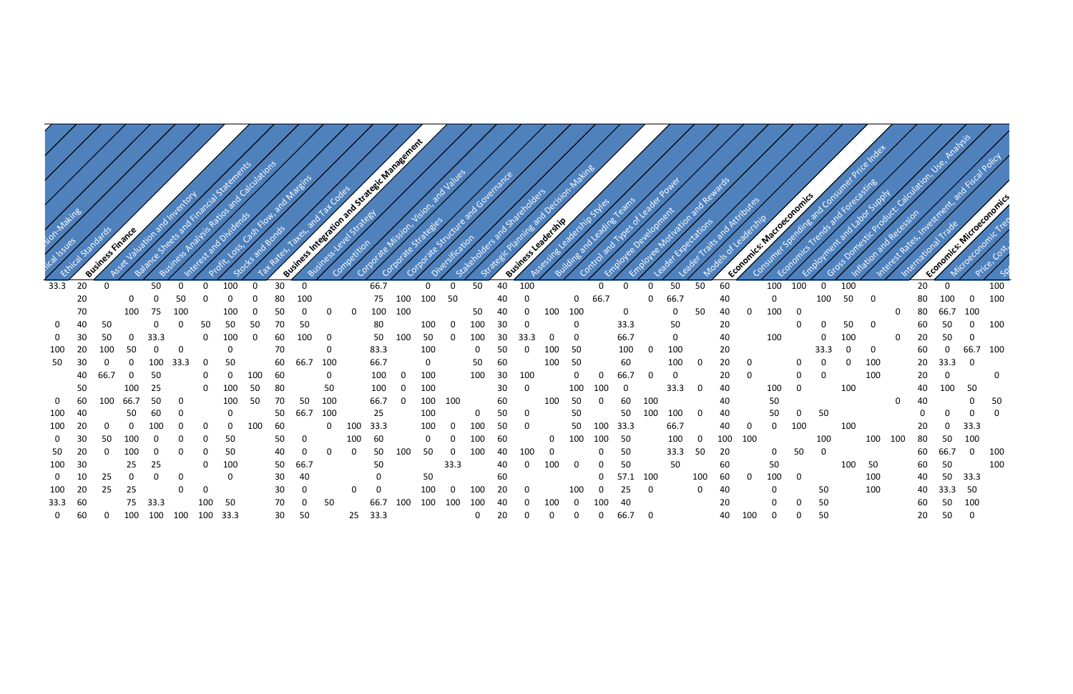

| ion-Makin      |    | BUSINE       | ces Finance |      |      |     |          |     |    |          |     |          | Business integration and Strategic Management |     |     |              | a and Governance |    |      | De<br>Business Leadership | cision Makins |      |             |          |          |     |     |     | Economics: Macroeconomics |          |             |     |     |     |    |      | and<br>Economics: Microechness |     |
|----------------|----|--------------|-------------|------|------|-----|----------|-----|----|----------|-----|----------|-----------------------------------------------|-----|-----|--------------|------------------|----|------|---------------------------|---------------|------|-------------|----------|----------|-----|-----|-----|---------------------------|----------|-------------|-----|-----|-----|----|------|--------------------------------|-----|
| 33.3           | 20 | $\Omega$     |             | 50   |      |     | 100      | 0   | 30 | $\Omega$ |     |          | 66.7                                          |     | 0   | 0            | 50               | 40 | 100  |                           |               | 0    | 0           | 0        | 50       | 50  | 60  |     | 100                       | 100      | $\mathbf 0$ | 100 |     |     | 20 | 0    |                                | 100 |
|                | 20 |              | $\Omega$    |      | 50   |     |          |     | 80 | 100      |     |          | 75                                            | 100 | 100 | 50           |                  | 40 |      |                           | 0             | 66.7 |             | 0        | 66.7     |     | 40  |     | 0                         |          | 100         | 50  | 0   |     | 80 |      |                                | 100 |
|                | 70 |              | 100         | 75   | 100  |     | 100      | 0   | 50 |          |     |          | 100                                           | 100 |     |              | 50               | 40 | -0   | 100                       | 100           |      | $\mathbf 0$ |          | 0        | 50  | 40  | 0   | 100                       | 0        |             |     |     | 0   | 80 | 66.7 | 100                            |     |
| $\mathbf{0}$   | 40 | 50           |             |      |      | 50  | 50       | 50  | 70 | 50       |     |          | 80                                            |     | 100 | 0            | 100              | 30 | - 0  |                           | $\Omega$      |      | 33.3        |          | 50       |     | 20  |     |                           | n        | 0           | 50  | 0   |     | 60 | 50   | ∩                              | 100 |
| 0              | 30 |              |             | 33.3 |      | 0   | 100      |     | 60 | 100      | 0   |          | 50                                            | 100 | 50  | 0            | 100              | 30 | 33.3 |                           | 0             |      | 66.7        |          | 0        |     | 40  |     | 100                       |          | 0           | 100 |     | 0   | 20 | 50   |                                |     |
| 100            | 20 | 100          | 50          |      |      |     | 0        |     | 70 |          | 0   |          | 83.3                                          |     | 100 |              | 0                |    |      |                           | 50            |      | 100         |          | 100      |     | 20  |     |                           |          | 33.3        |     | -0  |     | 60 |      | 66.7                           | 100 |
| 50             | 30 | 0            |             |      | 33.3 |     | 50       |     | 60 | 66.7     | 100 |          | 66.7                                          |     | 0   |              | 50               | 60 |      | 100                       | 50            |      | 60          |          | 100      | -0  | 20  |     |                           |          |             |     | 100 |     | 20 | 33.3 |                                |     |
|                | 40 | 66.7         |             | 50   |      | O   |          |     | 60 |          | 0   |          | 100                                           |     | 100 |              | 100              | 30 | 100  |                           | $\Omega$      |      | 66.7        | 0        | $\Omega$ |     | 20  |     |                           | 0        | 0           |     | 100 |     | 20 | 0    |                                | 0   |
|                | 50 |              | 100         | 25   |      | 0   | 100      | 50  | 80 |          | 50  |          | 100                                           |     | 100 |              |                  | 30 | 0    |                           | 100           |      | 0           |          | 33.3     | -0  | 40  |     | 100                       | $\Omega$ |             | 100 |     |     | 40 | 100  | 50                             |     |
| 0              | 60 | 100          | 66.7        | 50   |      |     | 100      | 50  | 70 | 50       | 100 |          | 66.7                                          |     | 100 | 100          |                  | 60 |      | 100                       | 50            | 0    | 60          | 100      |          |     | 40  |     | 50                        |          |             |     |     | 0   | 40 |      | 0                              | 50  |
| 100            | 40 |              | 50          | 60   |      |     | $\Omega$ |     | 50 | 66.7     | 100 |          | 25                                            |     | 100 |              | O                | 50 | - 0  |                           | 50            |      | 50          | 100      | 100      | . വ | 40  |     | 50                        | $\Omega$ | 50          |     |     |     |    | 0    |                                |     |
| 100            | 20 | <sup>0</sup> |             |      |      |     |          | 100 | 60 |          | 0   | 100      | 33.3                                          |     | 100 | 0            | 10 <sub>C</sub>  | 50 | - 0  |                           | 50            | 100  | 33.3        |          | 66.7     |     | 40  |     | 0                         | 100      |             | 100 |     |     | 20 |      | 33.3                           |     |
| $\mathbf{0}$   | 30 | 50           |             |      |      |     | 50       |     | 50 | 0        |     | 100      | 60                                            |     | 0   |              | 100              | 60 |      | 0                         | 100           |      | 50          |          | 100      |     | 100 | 100 |                           |          | 100         |     | 100 | 100 | 80 | 50   | 100                            |     |
| 50             | 20 | <sup>0</sup> | 100         |      |      |     | 50       |     | 40 |          |     |          | 50                                            |     | 50  | 0            | 100              | 40 | 100  |                           |               |      | 50          |          | 33.3     | 50  | 20  |     | 0                         | 50       | $\mathbf 0$ |     |     |     | 60 | 66.7 |                                | 100 |
| 100            | 30 |              | 25          | 25   |      |     | 100      |     | 50 | 66.7     |     |          | 50                                            |     |     | 33.3         |                  | 40 |      | 100                       |               |      | 50          |          | 50       |     | 60  |     | 50                        |          |             | 100 | 50  |     | 60 | 50   |                                | 100 |
| 0              | 10 | 25           |             |      | 0    |     | 0        |     | 30 | 40       |     |          | 0                                             |     | 50  |              |                  | 60 |      |                           |               | 0    | 57.1 100    |          |          | 100 | 60  |     | 100                       | 0        |             |     | 100 |     | 40 | 50   | 33.3                           |     |
| 100            |    | 25           | 25          |      |      |     |          |     | 30 |          |     | $\Omega$ |                                               |     | 100 | <sup>0</sup> | 100              |    |      |                           | 100           |      | 25          | 0        |          | -0  | 40  |     | 0                         |          | 50          |     | 100 |     | 40 | 33.3 | 50                             |     |
| 33.3           | 60 |              | 75          | 33.3 |      | 100 | 50       |     | 70 |          | 50  |          | 66.7                                          | 100 | 100 | 100          | 100              |    |      |                           |               |      | 40          |          |          |     | 20  |     | 0                         | 0        | 50          |     |     |     | 60 | 50   | 100                            |     |
| $\overline{0}$ | 60 | 0            | 100         | 100  | 100  | 100 | 33.3     |     | 30 | 50       |     | 25       | 33.3                                          |     |     |              | 0                | 20 |      |                           |               |      | 66.7        | $\Omega$ |          |     | 40  | 100 | 0                         | $\Omega$ | 50          |     |     |     | 20 | 50   | $\Omega$                       |     |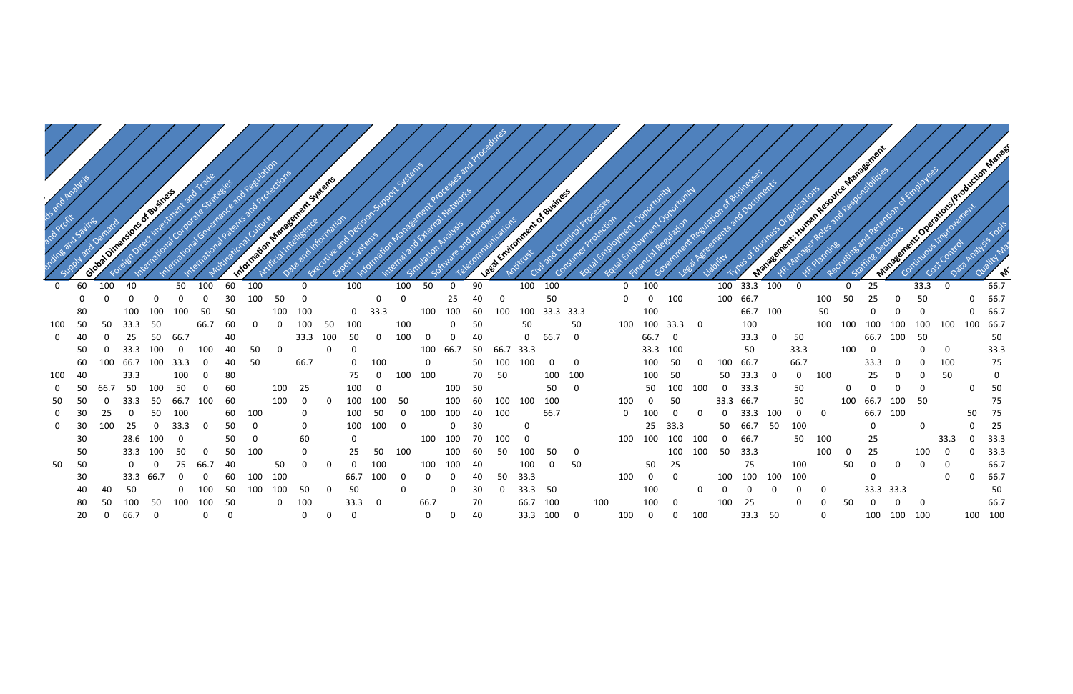

|                |             |             | at Oimersions of Business |          |          |              |          |          |          | mation Management Systems |          |             | Sup                     |              |             |              |    | edures |                             |           |                         |     |              |              |          |                         |              |           | ess Organizations |                |              |              | Secret Killings Regions of Management |        |             | seement: Operations/Production and |              |                                           |
|----------------|-------------|-------------|---------------------------|----------|----------|--------------|----------|----------|----------|---------------------------|----------|-------------|-------------------------|--------------|-------------|--------------|----|--------|-----------------------------|-----------|-------------------------|-----|--------------|--------------|----------|-------------------------|--------------|-----------|-------------------|----------------|--------------|--------------|---------------------------------------|--------|-------------|------------------------------------|--------------|-------------------------------------------|
|                |             | Global      |                           |          |          |              |          |          |          |                           |          |             |                         |              |             |              |    |        | Leep Entirement of Business |           |                         |     |              |              |          |                         |              |           |                   |                |              |              |                                       | Manage |             |                                    |              | $\mathscr{A}_{\mathscr{C}_{\mathscr{C}}}$ |
| $\mathbf 0$    | 60          | 100         | 40                        |          | 50       | 100          | 60       | 100      |          | $\mathbf 0$               |          | 100         |                         | 100          | 50          | $\mathbf 0$  | 90 |        |                             | 100 100   |                         |     | $\mathbf 0$  | 100          |          |                         |              | 100 33.3  | 100               | $\overline{0}$ |              | $\mathbf{0}$ | 25                                    |        | 33.3        | $\overline{0}$                     |              | 66.7                                      |
|                | $\mathbf 0$ | $\mathbf 0$ | $\Omega$                  | $\Omega$ | $\Omega$ | 0            | 30       | 100      | 50       | $\Omega$                  |          |             | $\Omega$                | $\Omega$     |             | 25           | 40 | 0      |                             | 50        |                         |     | 0            | $\mathbf 0$  | 100      |                         |              | 100 66.7  |                   |                | 100          | 50           | 25                                    |        | 50          |                                    | $\Omega$     | 66.7                                      |
|                | 80          |             | 100                       | 100      | 100      | 50           | 50       |          | 100      | 100                       |          | 0           | 33.3                    |              | 100         | 100          | 60 | 100    | 100                         | 33.3 33.3 |                         |     |              | 100          |          |                         |              | 66.7 100  |                   |                | 50           |              |                                       |        | $\Omega$    |                                    | $\mathbf{0}$ | 66.7                                      |
| 100            | 50          | 50          | 33.3                      | - 50     |          | 66.7         | 60       | $\Omega$ | $\Omega$ | 100                       | 50       | 100         |                         | 100          |             | 0            | 50 |        | 50                          |           | 50                      |     | 100          | 100 33.3     |          | $\overline{\mathbf{0}}$ |              | 100       |                   |                | 100          | 100          | 100                                   | 100    | 100         | 100                                | 100 66.7     |                                           |
| $\overline{0}$ | 40          |             | 25                        | 50       | 66.7     |              | 40       |          |          | 33.3                      | 100      | 50          | -0                      | 100          | 0           | 0            | 40 |        |                             | 0 66.7 0  |                         |     |              | 66.7 0       |          |                         |              | 33.3      | $\Omega$          | 50             |              |              | 66.7                                  | 100    | 50          |                                    |              | 50                                        |
|                | 50          |             | 33.3                      | 100      | $\Omega$ | 100          | 40       | 50       | $\Omega$ |                           | $\Omega$ | 0           |                         |              | 100         | 66.7         | 50 | 66.7   | 33.3                        |           |                         |     |              | 33.3         | 100      |                         |              | 50        |                   | 33.3           |              | 100          | 0                                     |        | 0           | $\mathbf{0}$                       |              | 33.3                                      |
|                | 60          |             | 66.7                      | 100      | 33.3     | $\Omega$     | 40       | 50       |          | 66.7                      |          |             | 100                     |              | $\mathbf 0$ |              | 50 | 100    | 100                         | 0         | $\mathbf 0$             |     |              | 100          | 50       |                         | 100          | 66.7      |                   | 66.7           |              |              | 33.3                                  | -0     | 0           | 100                                |              | 75                                        |
| 100            | 40          |             | 33.3                      |          | 100      |              | 80       |          |          |                           |          | 75          | $\Omega$                | 100          | 100         |              | 70 | 50     |                             | 100       | 100                     |     |              | 100          | 50       |                         | 50           | 33.3      | $\Omega$          | $\mathbf 0$    | 100          |              | 25                                    |        | 0           | 50                                 |              | $\mathbf 0$                               |
| $\overline{0}$ |             | 66.7        | 50                        | 100      | 50       |              | 60       |          | 100      | 25                        |          | 100         | -0                      |              |             | 100          | 50 |        |                             | 50        | $\mathbf 0$             |     |              | 50           | 100      | 100                     |              | 33.3      |                   | 50             |              | 0            |                                       |        | 0           |                                    | 0            | 50                                        |
| 50             |             |             | 33.3                      | 50       | 66.7     | 100          | 60       |          | 100      |                           |          | 100         | 100                     | 50           |             | 100          | 60 | 100    | 100                         | 100       |                         |     | 100          | $\mathbf{0}$ | 50       |                         |              | 33.3 66.7 |                   | 50             |              | 100          | 66.7                                  | 100    | 50          |                                    |              | 75                                        |
| 0              | 30          | 25          | $\Omega$                  | 50       | 100      |              | 60       | 100      |          | $\mathbf{0}$              |          | 100         | 50                      | <sup>0</sup> | 100         | 100          | 40 | 100    |                             | 66.7      |                         |     | $\mathbf{0}$ | 100          | $\Omega$ |                         | $\mathbf{0}$ | 33.3      | 100               | $\Omega$       | $\mathbf 0$  |              | 66.7                                  | 100    |             |                                    | 50           | 75                                        |
| $\mathbf 0$    | 30          | 100         | 25                        | $\Omega$ | 33.3     | $\Omega$     | 50       | $\Omega$ |          | 0                         |          | 100         | 100                     | $\Omega$     |             | $\mathbf{0}$ | 30 |        | 0                           |           |                         |     |              | 25           | 33.3     |                         | 50           | 66.7      | 50                | 100            |              |              | 0                                     |        | $\mathbf 0$ |                                    | $\mathbf{0}$ | 25                                        |
|                | 30          |             | 28.6                      | 100      | 0        |              | 50       |          |          | 60                        |          | 0           |                         |              | 100         | 100          | 70 | 100    |                             |           |                         |     | 100          | 100          | 100      | 100                     | $\mathbf{0}$ | 66.7      |                   | 50             | 100          |              | 25                                    |        |             | 33.3                               | $\Omega$     | 33.3                                      |
|                | 50          |             | 33.3                      | 100      | 50       |              | 50       | 100      |          | $\Omega$                  |          | 25          | 50                      | 100          |             | 100          | 60 | 50     | 100                         | 50        | 0                       |     |              |              | 100      | 100                     | 50           | 33.3      |                   |                | 100          | 0            | 25                                    |        | 100         | 0                                  | $\Omega$     | 33.3                                      |
| 50             | 50          |             | 0                         | 0        | 75       | 66.7         | 40       |          | 50       |                           |          |             | 100                     |              | 100         | 100          | 40 |        | 100                         | 0         | 50                      |     |              | 50           | 25       |                         |              | 75        |                   | 100            |              | 50           | 0                                     | 0      | $\Omega$    | 0                                  |              | 66.7                                      |
|                | 30          |             | 33.3                      | 66.7     |          |              | 60       | 100      | 100      |                           |          | 66.7        | 100                     | $\Omega$     | $\Omega$    | 0            | 40 | 50     | 33.3                        |           |                         |     | 100          | 0            | $\Omega$ |                         | 100          | 100       | 100               | 100            |              |              | 0                                     |        |             | $\mathbf{0}$                       | $\mathbf 0$  | 66.7                                      |
|                | 40          | 40          | 50                        |          |          |              | 50       | 100      | 100      | 50                        |          | 50          |                         | $\Omega$     |             | 0            | 30 | 0      | 33.3                        | 50        |                         |     |              | 100          |          | 0                       |              |           |                   |                | $\Omega$     |              | 33.3 33.3                             |        |             |                                    |              | 50                                        |
|                | 80          | 50          |                           | 50       | 100      | 100          | 50       |          | 0        | 100                       |          | 33.3        | $\overline{\mathbf{0}}$ |              | 66.7        |              | 70 |        | 66.7                        | 100       |                         | 100 |              | 100          | $\Omega$ |                         | 100          | 25        |                   | $\Omega$       |              | 50           |                                       |        | $\Omega$    |                                    |              | 66.7                                      |
|                | 20          | $\mathbf 0$ | 66.7                      | - 0      |          | $\mathbf{0}$ | $\Omega$ |          |          | $\overline{0}$            | $\Omega$ | $\mathbf 0$ |                         |              | $\mathbf 0$ | $\mathbf 0$  | 40 |        |                             | 33.3 100  | $\overline{\mathbf{0}}$ |     | 100          | $\mathbf 0$  | 0        | 100                     |              | 33.3 50   |                   |                | $\mathbf{0}$ |              | 100                                   | 100    | 100         |                                    | 100 100      |                                           |